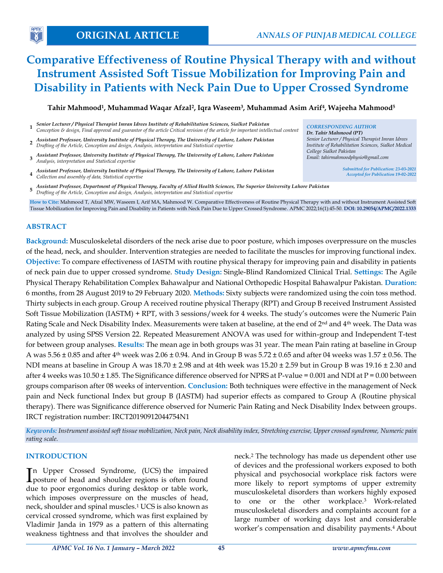# **Comparative Effectiveness of Routine Physical Therapy with and without Instrument Assisted Soft Tissue Mobilization for Improving Pain and Disability in Patients with Neck Pain Due to Upper Crossed Syndrome**

**Tahir Mahmood<sup>1</sup> , Muhammad Waqar Afzal<sup>2</sup> , Iqra Waseem<sup>3</sup> , Muhammad Asim Arif<sup>4</sup> , Wajeeha Mahmood<sup>5</sup>**

- **1** *Senior Lecturer / Physical Therapist Imran Idrees Institute of Rehabilitation Sciences, Sialkot Pakistan Conception & design, Final approval and guarantor of the article Critical revision of the article for important intellectual content CORRESPONDING AUTHOR*
- **2** *Assistant Professor, University Institute of Physical Therapy, The University of Lahore, Lahore Pakistan Drafting of the Article, Conception and design, Analysis, interpretation and Statistical expertise*
- **3** *Assistant Professor, University Institute of Physical Therapy, The University of Lahore, Lahore Pakistan Analysis, interpretation and Statistical expertise*
- **4** *Assistant Professor, University Institute of Physical Therapy, The University of Lahore, Lahore Pakistan Collection and assembly of data, Statistical expertise*
- **5** *Assistant Professor, Department of Physical Therapy, Faculty of Allied Health Sciences, The Superior University Lahore Pakistan Drafting of the Article, Conception and design, Analysis, interpretation and Statistical expertise*

**How to Cite:** Mahmood T, Afzal MW, Waseem I, Arif MA, Mahmood W. Comparative Effectiveness of Routine Physical Therapy with and without Instrument Assisted Soft Tissue Mobilization for Improving Pain and Disability in Patients with Neck Pain Due to Upper Crossed Syndrome. APMC 2022;16(1):45-50. **DOI: 10.29054/APMC/2022.1333**

## **ABSTRACT**

**Background:** Musculoskeletal disorders of the neck arise due to poor posture, which imposes overpressure on the muscles of the head, neck, and shoulder. Intervention strategies are needed to facilitate the muscles for improving functional index. **Objective:** To compare effectiveness of IASTM with routine physical therapy for improving pain and disability in patients of neck pain due to upper crossed syndrome. **Study Design:** Single-Blind Randomized Clinical Trial. **Settings:** The Agile Physical Therapy Rehabilitation Complex Bahawalpur and National Orthopedic Hospital Bahawalpur Pakistan. **Duration:** 6 months, from 28 August 2019 to 29 February 2020. **Methods:** Sixty subjects were randomized using the coin toss method. Thirty subjects in each group. Group A received routine physical Therapy (RPT) and Group B received Instrument Assisted Soft Tissue Mobilization (IASTM) + RPT, with 3 sessions/week for 4 weeks. The study's outcomes were the Numeric Pain Rating Scale and Neck Disability Index. Measurements were taken at baseline, at the end of  $2^{nd}$  and  $4^{th}$  week. The Data was analyzed by using SPSS Version 22. Repeated Measurement ANOVA was used for within-group and Independent T-test for between group analyses. **Results:** The mean age in both groups was 31 year. The mean Pain rating at baseline in Group A was  $5.56 \pm 0.85$  and after 4<sup>th</sup> week was  $2.06 \pm 0.94$ . And in Group B was  $5.72 \pm 0.65$  and after 04 weeks was  $1.57 \pm 0.56$ . The NDI means at baseline in Group A was  $18.70 \pm 2.98$  and at 4th week was  $15.20 \pm 2.59$  but in Group B was  $19.16 \pm 2.30$  and after 4 weeks was  $10.50 \pm 1.85$ . The Significance difference observed for NPRS at P-value = 0.001 and NDI at P = 0.00 between groups comparison after 08 weeks of intervention. **Conclusion:** Both techniques were effective in the management of Neck pain and Neck functional Index but group B (IASTM) had superior effects as compared to Group A (Routine physical therapy). There was Significance difference observed for Numeric Pain Rating and Neck Disability Index between groups. IRCT registration number: IRCT20190912044754N1

*Keywords: Instrument assisted soft tissue mobilization, Neck pain, Neck disability index, Stretching exercise, Upper crossed syndrome, Numeric pain rating scale.*

## **INTRODUCTION**

In Upper Crossed Syndrome, (UCS) the impaired posture of head and shoulder regions is often found **L** posture of head and shoulder regions is often found due to poor ergonomics during desktop or table work, which imposes overpressure on the muscles of head, neck, shoulder and spinal muscles.<sup>1</sup> UCS is also known as cervical crossed syndrome, which was first explained by Vladimir Janda in 1979 as a pattern of this alternating weakness tightness and that involves the shoulder and

neck.<sup>2</sup> The technology has made us dependent other use of devices and the professional workers exposed to both physical and psychosocial workplace risk factors were more likely to report symptoms of upper extremity musculoskeletal disorders than workers highly exposed to one or the other workplace.3 Work-related musculoskeletal disorders and complaints account for a large number of working days lost and considerable worker's compensation and disability payments.<sup>4</sup> About

*Dr. Tahir Mahmood (PT) Senior Lecturer / Physical Therapist Imran Idrees Institute of Rehabilitation Sciences, Sialkot Medical College Sialkot Pakistan Email: tahirmahmoodphysio@gmail.com*

*Submitted for Publication: 23-03-2021 Accepted for Publication 19-02-2022*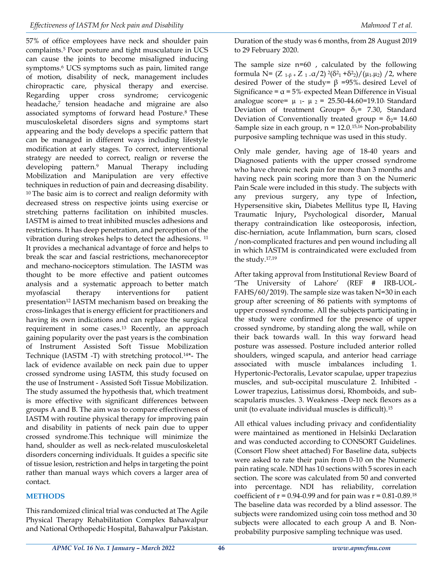57% of office employees have neck and shoulder pain complaints.<sup>5</sup> Poor posture and tight musculature in UCS can cause the joints to become misaligned inducing symptoms.<sup>6</sup> UCS symptoms such as pain, limited range of motion, disability of neck, management includes chiropractic care, physical therapy and exercise. Regarding upper cross syndrome; cervicogenic headache,<sup>7</sup> tension headache and migraine are also associated symptoms of forward head Posture.8 These musculoskeletal disorders signs and symptoms start appearing and the body develops a specific pattern that can be managed in different ways including lifestyle modification at early stages. To correct, interventional strategy are needed to correct, realign or reverse the developing pattern.<sup>9</sup> Manual Therapy including Mobilization and Manipulation are very effective techniques in reduction of pain and decreasing disability. <sup>10</sup>The basic aim is to correct and realign deformity with decreased stress on respective joints using exercise or stretching patterns facilitation on inhibited muscles. IASTM is aimed to treat inhibited muscles adhesions and restrictions. It has deep penetration, and perception of the vibration during strokes helps to detect the adhesions. <sup>11</sup> It provides a mechanical advantage of force and helps to break the scar and fascial restrictions, mechanoreceptor and mechano-nociceptors stimulation. The IASTM was thought to be more effective and patient outcomes analysis and a systematic approach to better match myofascial therapy interventions for patient presentation<sup>12</sup> IASTM mechanism based on breaking the cross-linkages that is energy efficient for practitioners and having its own indications and can replace the surgical requirement in some cases.<sup>13</sup> Recently, an approach gaining popularity over the past years is the combination of Instrument Assisted Soft Tissue Mobilization Technique (IASTM -T) with stretching protocol.14\*- The lack of evidence available on neck pain due to upper crossed syndrome using IASTM, this study focused on the use of Instrument - Assisted Soft Tissue Mobilization. The study assumed the hypothesis that, which treatment is more effective with significant differences between groups A and B. The aim was to compare effectiveness of IASTM with routine physical therapy for improving pain and disability in patients of neck pain due to upper crossed syndrome.This technique will minimize the hand, shoulder as well as neck-related musculoskeletal disorders concerning individuals. It guides a specific site of tissue lesion, restriction and helps in targeting the point rather than manual ways which covers a larger area of contact.

## **METHODS**

This randomized clinical trial was conducted at The Agile Physical Therapy Rehabilitation Complex Bahawalpur and National Orthopedic Hospital, Bahawalpur Pakistan. Duration of the study was 6 months, from 28 August 2019 to 29 February 2020.

The sample size n=60 , calculated by the following formula N=  $(Z_{1-\beta} + Z_{1-\alpha}/2)^2(\delta^2 + \delta^2)/(\mu_1 \mu_2)$  /2, where desired Power of the study=  $β = 95%$  desired Level of Significance =  $\alpha$  = 5% expected Mean Difference in Visual analogue score=  $\mu$  <sub>1</sub>-  $\mu$  <sub>2</sub> = 25.50-44.60=19.10. Standard Deviation of treatment Group=  $\delta_1$ = 7.30, Standard Deviation of Conventionally treated group =  $\delta_2$ = 14.60 Sample size in each group,  $n = 12.0^{15,16}$  Non-probability purposive sampling technique was used in this study.

Only male gender, having age of 18-40 years and Diagnosed patients with the upper crossed syndrome who have chronic neck pain for more than 3 months and having neck pain scoring more than 3 on the Numeric Pain Scale were included in this study. The subjects with any previous surgery, any type of Infection**,**  Hypersensitive skin**,** Diabetes Mellitus type II**,** Having Traumatic Injury**,** Psychological disorder**,** Manual therapy contraindication like osteoporosis, infection, disc-herniation, acute Inflammation, burn scars, closed /non-complicated fractures and pen wound including all in which IASTM is contraindicated were excluded from the study.17,19

After taking approval from Institutional Review Board of 'The University of Lahore' (REF # IRB-UOL-FAHS/60/2019). The sample size was taken N=30 in each group after screening of 86 patients with symptoms of upper crossed syndrome. All the subjects participating in the study were confirmed for the presence of upper crossed syndrome, by standing along the wall, while on their back towards wall. In this way forward head posture was assessed. Posture included anterior rolled shoulders, winged scapula, and anterior head carriage associated with muscle imbalances including 1. Hypertonic-Pectoralis, Levator scapulae, upper trapezius muscles, and sub-occipital musculature 2. Inhibited - Lower trapezius, Latissimus dorsi, Rhomboids, and subscapularis muscles. 3. Weakness -Deep neck flexors as a unit (to evaluate individual muscles is difficult).<sup>15</sup>

All ethical values including privacy and confidentiality were maintained as mentioned in Helsinki Declaration and was conducted according to CONSORT Guidelines. (Consort Flow sheet attached) For Baseline data, subjects were asked to rate their pain from 0-10 on the Numeric pain rating scale. NDI has 10 sections with 5 scores in each section. The score was calculated from 50 and converted into percentage. NDI has reliability, correlation coefficient of  $r = 0.94$ -0.99 and for pain was  $r = 0.81$ -0.89.18 The baseline data was recorded by a blind assessor. The subjects were randomized using coin toss method and 30 subjects were allocated to each group A and B. Nonprobability purposive sampling technique was used.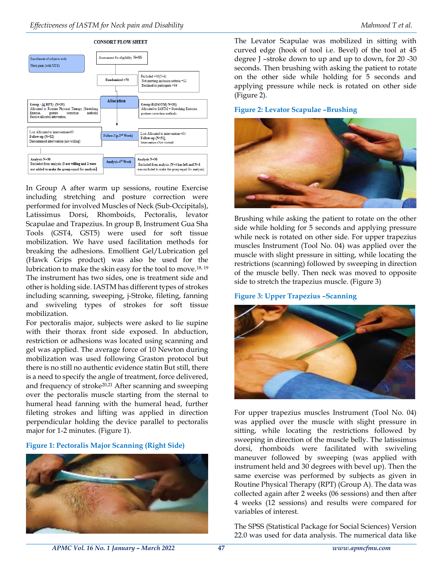

In Group A after warm up sessions, routine Exercise including stretching and posture correction were performed for involved Muscles of Neck (Sub-Occipitals), Latissimus Dorsi, Rhomboids, Pectoralis, levator Scapulae and Trapezius. In group B, Instrument Gua Sha Tools (GST4, GST5) were used for soft tissue mobilization. We have used facilitation methods for breaking the adhesions. Emollient Gel/Lubrication gel (Hawk Grips product) was also be used for the lubrication to make the skin easy for the tool to move.18, 19 The instrument has two sides, one is treatment side and other is holding side. IASTM has different types of strokes including scanning, sweeping, j-Stroke, fileting, fanning and swiveling types of strokes for soft tissue mobilization.

For pectoralis major, subjects were asked to lie supine with their thorax front side exposed. In abduction, restriction or adhesions was located using scanning and gel was applied. The average force of 10 Newton during mobilization was used following Graston protocol but there is no still no authentic evidence statin But still, there is a need to specify the angle of treatment, force delivered, and frequency of stroke20,21 After scanning and sweeping over the pectoralis muscle starting from the sternal to humeral head fanning with the humeral head, further fileting strokes and lifting was applied in direction perpendicular holding the device parallel to pectoralis major for 1-2 minutes. (Figure 1).

**Figure 1: Pectoralis Major Scanning (Right Side)**



The Levator Scapulae was mobilized in sitting with curved edge (hook of tool i.e. Bevel) of the tool at 45 degree J –stroke down to up and up to down, for 20 -30 seconds. Then brushing with asking the patient to rotate on the other side while holding for 5 seconds and applying pressure while neck is rotated on other side (Figure 2).

#### **Figure 2: Levator Scapulae –Brushing**



Brushing while asking the patient to rotate on the other side while holding for 5 seconds and applying pressure while neck is rotated on other side. For upper trapezius muscles Instrument (Tool No. 04) was applied over the muscle with slight pressure in sitting, while locating the restrictions (scanning) followed by sweeping in direction of the muscle belly. Then neck was moved to opposite side to stretch the trapezius muscle. (Figure 3)

## **Figure 3: Upper Trapezius –Scanning**



For upper trapezius muscles Instrument (Tool No. 04) was applied over the muscle with slight pressure in sitting, while locating the restrictions followed by sweeping in direction of the muscle belly. The latissimus dorsi, rhomboids were facilitated with swiveling maneuver followed by sweeping (was applied with instrument held and 30 degrees with bevel up). Then the same exercise was performed by subjects as given in Routine Physical Therapy (RPT) (Group A). The data was collected again after 2 weeks (06 sessions) and then after 4 weeks (12 sessions) and results were compared for variables of interest.

The SPSS (Statistical Package for Social Sciences) Version 22.0 was used for data analysis. The numerical data like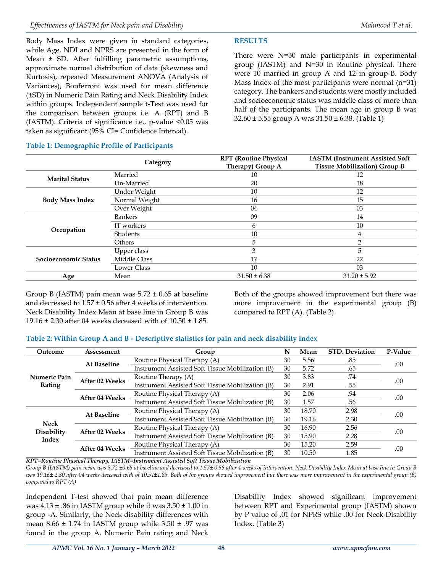Body Mass Index were given in standard categories, while Age, NDI and NPRS are presented in the form of Mean ± SD. After fulfilling parametric assumptions, approximate normal distribution of data (skewness and Kurtosis), repeated Measurement ANOVA (Analysis of Variances), Bonferroni was used for mean difference (±SD) in Numeric Pain Rating and Neck Disability Index within groups. Independent sample t-Test was used for the comparison between groups i.e. A (RPT) and B (IASTM). Criteria of significance i.e., p-value <0.05 was

## **Table 1: Demographic Profile of Participants**

taken as significant (95% CI= Confidence Interval).

## **RESULTS**

There were N=30 male participants in experimental group (IASTM) and N=30 in Routine physical. There were 10 married in group A and 12 in group-B. Body Mass Index of the most participants were normal (n=31) category. The bankers and students were mostly included and socioeconomic status was middle class of more than half of the participants. The mean age in group B was 32.60 ± 5.55 group A was 31.50 ± 6.38. (Table 1)

|                        |               | <b>RPT</b> (Routine Physical | <b>IASTM</b> (Instrument Assisted Soft<br><b>Tissue Mobilization</b> ) Group B |  |  |
|------------------------|---------------|------------------------------|--------------------------------------------------------------------------------|--|--|
|                        | Category      | Therapy) Group A             |                                                                                |  |  |
| <b>Marital Status</b>  | Married       | 10                           | 12                                                                             |  |  |
|                        | Un-Married    | 20                           | 18                                                                             |  |  |
|                        | Under Weight  | 10                           | 12                                                                             |  |  |
| <b>Body Mass Index</b> | Normal Weight | 16                           | 15                                                                             |  |  |
|                        | Over Weight   | 04                           | 03                                                                             |  |  |
|                        | Bankers       | 09                           | 14                                                                             |  |  |
|                        | IT workers    | 6                            | 10                                                                             |  |  |
| Occupation             | Students      | 10                           | 4                                                                              |  |  |
|                        | Others        | 5                            | $\overline{2}$                                                                 |  |  |
|                        | Upper class   | 3                            | 5                                                                              |  |  |
| Socioeconomic Status   | Middle Class  | 17                           | 22                                                                             |  |  |
|                        | Lower Class   | 10                           | 03                                                                             |  |  |
| Age                    | Mean          | $31.50 \pm 6.38$             | $31.20 \pm 5.92$                                                               |  |  |

Group B (IASTM) pain mean was  $5.72 \pm 0.65$  at baseline and decreased to 1.57 ± 0.56 after 4 weeks of intervention. Neck Disability Index Mean at base line in Group B was 19.16 ± 2.30 after 04 weeks deceased with of 10.50 ± 1.85.

Both of the groups showed improvement but there was more improvement in the experimental group (B) compared to RPT (A). (Table 2)

## **Table 2: Within Group A and B - Descriptive statistics for pain and neck disability index**

| Outcome                            | Assessment            | Group                                                                 | N  | Mean        | <b>STD.</b> Deviation | P-Value |
|------------------------------------|-----------------------|-----------------------------------------------------------------------|----|-------------|-----------------------|---------|
| Numeric Pain<br>Rating             | <b>At Baseline</b>    | Routine Physical Therapy (A)                                          |    | 5.56        | .85                   | .00     |
|                                    |                       | Instrument Assisted Soft Tissue Mobilization (B)                      | 30 | 5.72<br>.65 |                       |         |
|                                    | After 02 Weeks        | Routine Therapy (A)                                                   |    | 3.83        | .74                   | .00     |
|                                    |                       | Instrument Assisted Soft Tissue Mobilization (B)<br>.55<br>30<br>2.91 |    |             |                       |         |
|                                    | After 04 Weeks        | Routine Physical Therapy (A)<br>30                                    |    | 2.06        | .94                   | .00     |
|                                    |                       | Instrument Assisted Soft Tissue Mobilization (B)<br>30<br>1.57<br>.56 |    |             |                       |         |
| <b>Neck</b><br>Disability<br>Index | At Baseline           | Routine Physical Therapy (A)                                          |    | 18.70       | 2.98                  | .00     |
|                                    |                       | Instrument Assisted Soft Tissue Mobilization (B)                      | 30 | 19.16       | 2.30                  |         |
|                                    | <b>After 02 Weeks</b> | Routine Physical Therapy (A)                                          |    | 16.90       | 2.56                  | .00     |
|                                    |                       | Instrument Assisted Soft Tissue Mobilization (B)                      | 30 | 15.90       | 2.28                  |         |
|                                    | After 04 Weeks        | Routine Physical Therapy (A)                                          |    | 15.20       | 2.59                  | .00     |
|                                    |                       | Instrument Assisted Soft Tissue Mobilization (B)                      | 30 | 10.50       | 1.85                  |         |

*RPT=Routine Physical Therapy, IASTM=Instrument Assisted Soft Tissue Mobilization*

*Group B (IASTM) pain mean was 5.72 ±0.65 at baseline and decreased to 1.57± 0.56 after 4 weeks of intervention. Neck Disability Index Mean at base line in Group B was 19.16± 2.30 after 04 weeks deceased with of 10.51±1.85. Both of the groups showed improvement but there was more improvement in the experimental group (B) compared to RPT (A)*

Independent T-test showed that pain mean difference was  $4.13 \pm .86$  in IASTM group while it was  $3.50 \pm 1.00$  in group -A. Similarly, the Neck disability differences with mean  $8.66 \pm 1.74$  in IASTM group while  $3.50 \pm .97$  was found in the group A. Numeric Pain rating and Neck

Disability Index showed significant improvement between RPT and Experimental group (IASTM) shown by P value of .01 for NPRS while .00 for Neck Disability Index. (Table 3)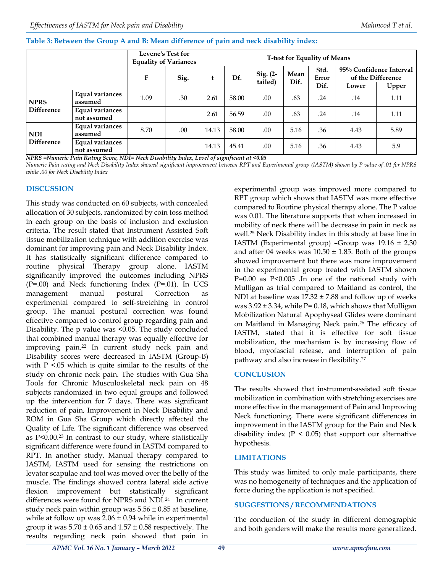|  | Table 3: Between the Group A and B: Mean difference of pain and neck disability index: |  |
|--|----------------------------------------------------------------------------------------|--|
|--|----------------------------------------------------------------------------------------|--|

|                                  |                                       | <b>Levene's Test for</b><br><b>Equality of Variances</b> |      | <b>T-test for Equality of Means</b> |       |                     |              |                       |                                              |       |
|----------------------------------|---------------------------------------|----------------------------------------------------------|------|-------------------------------------|-------|---------------------|--------------|-----------------------|----------------------------------------------|-------|
|                                  |                                       | F                                                        | Sig. | t                                   | Df.   | Sig. (2-<br>tailed) | Mean<br>Dif. | Std.<br>Error<br>Dif. | 95% Confidence Interval<br>of the Difference |       |
|                                  |                                       |                                                          |      |                                     |       |                     |              |                       | Lower                                        | Upper |
| <b>NPRS</b><br><b>Difference</b> | Equal variances<br>assumed            | 1.09                                                     | .30  | 2.61                                | 58.00 | .00                 | .63          | .24                   | .14                                          | 1.11  |
|                                  | Equal variances<br>not assumed        |                                                          |      | 2.61                                | 56.59 | .00                 | .63          | .24                   | .14                                          | 1.11  |
| <b>NDI</b><br>Difference         | Equal variances<br>assumed            | 8.70                                                     | .00. | 14.13                               | 58.00 | .00.                | 5.16         | .36                   | 4.43                                         | 5.89  |
|                                  | <b>Equal variances</b><br>not assumed |                                                          |      | 14.13                               | 45.41 | .00                 | 5.16         | .36                   | 4.43                                         | 5.9   |

*NPRS =Numeric Pain Rating Score, NDI= Neck Disability Index, Level of significant at <0.05*

*Numeric Pain rating and Neck Disability Index showed significant improvement between RPT and Experimental group (IASTM) shown by P value of .01 for NPRS while .00 for Neck Disability Index*

## **DISCUSSION**

This study was conducted on 60 subjects, with concealed allocation of 30 subjects, randomized by coin toss method in each group on the basis of inclusion and exclusion criteria. The result stated that Instrument Assisted Soft tissue mobilization technique with addition exercise was dominant for improving pain and Neck Disability Index. It has statistically significant difference compared to routine physical Therapy group alone. IASTM significantly improved the outcomes including NPRS (P=.00) and Neck functioning Index (P=.01). In UCS management manual postural Correction as experimental compared to self-stretching in control group. The manual postural correction was found effective compared to control group regarding pain and Disability. The p value was <0.05. The study concluded that combined manual therapy was equally effective for improving pain.<sup>22</sup> In current study neck pain and Disability scores were decreased in IASTM (Group-B) with  $P < 0.05$  which is quite similar to the results of the study on chronic neck pain. The studies with Gua Sha Tools for Chronic Musculoskeletal neck pain on 48 subjects randomized in two equal groups and followed up the intervention for 7 days. There was significant reduction of pain, Improvement in Neck Disability and ROM in Gua Sha Group which directly affected the Quality of Life. The significant difference was observed as P<0.00.<sup>23</sup> In contrast to our study, where statistically significant difference were found in IASTM compared to RPT. In another study, Manual therapy compared to IASTM, IASTM used for sensing the restrictions on levator scapulae and tool was moved over the belly of the muscle. The findings showed contra lateral side active flexion improvement but statistically significant differences were found for NPRS and NDI.<sup>24</sup> In current study neck pain within group was  $5.56 \pm 0.85$  at baseline, while at follow up was  $2.06 \pm 0.94$  while in experimental group it was  $5.70 \pm 0.65$  and  $1.57 \pm 0.58$  respectively. The results regarding neck pain showed that pain in

experimental group was improved more compared to RPT group which shows that IASTM was more effective compared to Routine physical therapy alone. The P value was 0.01. The literature supports that when increased in mobility of neck there will be decrease in pain in neck as well.<sup>25</sup> Neck Disability index in this study at base line in IASTM (Experimental group) -Group was  $19.16 \pm 2.30$ and after 04 weeks was  $10.50 \pm 1.85$ . Both of the groups showed improvement but there was more improvement in the experimental group treated with IASTM shown P=0.00 as P<0.005 .In one of the national study with Mulligan as trial compared to Maitland as control, the NDI at baseline was  $17.32 \pm 7.88$  and follow up of weeks was 3.92 ± 3.34, while P= 0.18, which shows that Mulligan Mobilization Natural Apophyseal Glides were dominant on Maitland in Managing Neck pain.<sup>26</sup> The efficacy of IASTM, stated that it is effective for soft tissue mobilization, the mechanism is by increasing flow of blood, myofascial release, and interruption of pain pathway and also increase in flexibility.<sup>27</sup>

## **CONCLUSION**

The results showed that instrument-assisted soft tissue mobilization in combination with stretching exercises are more effective in the management of Pain and Improving Neck functioning. There were significant differences in improvement in the IASTM group for the Pain and Neck disability index  $(P < 0.05)$  that support our alternative hypothesis.

## **LIMITATIONS**

This study was limited to only male participants, there was no homogeneity of techniques and the application of force during the application is not specified.

## **SUGGESTIONS / RECOMMENDATIONS**

The conduction of the study in different demographic and both genders will make the results more generalized.